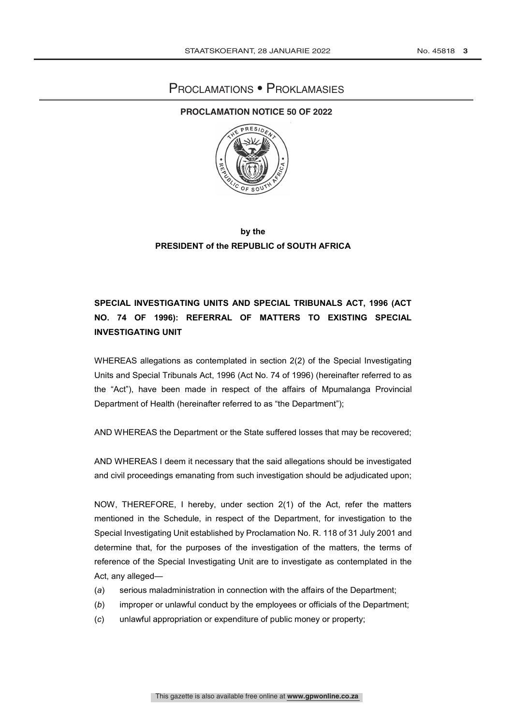## Proclamations • Proklamasies

#### **PROCLAMATION NOTICE 50 OF 2022**



### **by the PRESIDENT of the REPUBLIC of SOUTH AFRICA**

## **SPECIAL INVESTIGATING UNITS AND SPECIAL TRIBUNALS ACT, 1996 (ACT NO. 74 OF 1996): REFERRAL OF MATTERS TO EXISTING SPECIAL INVESTIGATING UNIT**

WHEREAS allegations as contemplated in section 2(2) of the Special Investigating Units and Special Tribunals Act, 1996 (Act No. 74 of 1996) (hereinafter referred to as the "Act"), have been made in respect of the affairs of Mpumalanga Provincial Department of Health (hereinafter referred to as "the Department");

AND WHEREAS the Department or the State suffered losses that may be recovered;

AND WHEREAS I deem it necessary that the said allegations should be investigated and civil proceedings emanating from such investigation should be adjudicated upon;

NOW, THEREFORE, I hereby, under section 2(1) of the Act, refer the matters mentioned in the Schedule, in respect of the Department, for investigation to the Special Investigating Unit established by Proclamation No. R. 118 of 31 July 2001 and determine that, for the purposes of the investigation of the matters, the terms of reference of the Special Investigating Unit are to investigate as contemplated in the Act, any alleged—

- (*a*) serious maladministration in connection with the affairs of the Department;
- (*b*) improper or unlawful conduct by the employees or officials of the Department;
- (*c*) unlawful appropriation or expenditure of public money or property;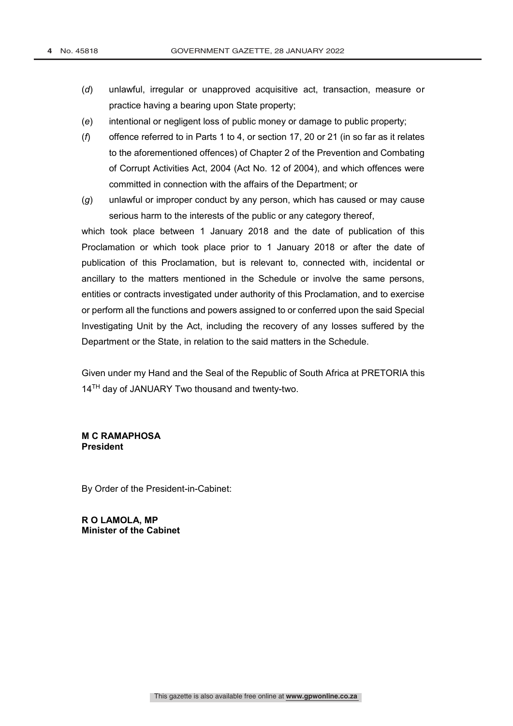- (*d*) unlawful, irregular or unapproved acquisitive act, transaction, measure or practice having a bearing upon State property;
- (*e*) intentional or negligent loss of public money or damage to public property;
- (*f*) offence referred to in Parts 1 to 4, or section 17, 20 or 21 (in so far as it relates to the aforementioned offences) of Chapter 2 of the Prevention and Combating of Corrupt Activities Act, 2004 (Act No. 12 of 2004), and which offences were committed in connection with the affairs of the Department; or
- (*g*) unlawful or improper conduct by any person, which has caused or may cause serious harm to the interests of the public or any category thereof,

which took place between 1 January 2018 and the date of publication of this Proclamation or which took place prior to 1 January 2018 or after the date of publication of this Proclamation, but is relevant to, connected with, incidental or ancillary to the matters mentioned in the Schedule or involve the same persons, entities or contracts investigated under authority of this Proclamation, and to exercise or perform all the functions and powers assigned to or conferred upon the said Special Investigating Unit by the Act, including the recovery of any losses suffered by the Department or the State, in relation to the said matters in the Schedule.

Given under my Hand and the Seal of the Republic of South Africa at PRETORIA this 14<sup>TH</sup> day of JANUARY Two thousand and twenty-two.

#### **M C RAMAPHOSA President**

By Order of the President-in-Cabinet:

**R O LAMOLA, MP Minister of the Cabinet**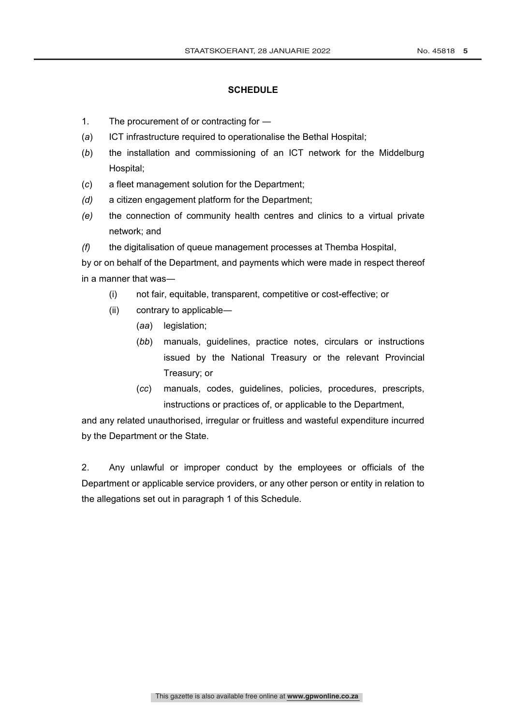#### **SCHEDULE**

- 1. The procurement of or contracting for —
- (*a*) ICT infrastructure required to operationalise the Bethal Hospital;
- (*b*) the installation and commissioning of an ICT network for the Middelburg Hospital;
- (*c*) a fleet management solution for the Department;
- *(d)* a citizen engagement platform for the Department;
- *(e)* the connection of community health centres and clinics to a virtual private network; and
- *(f)* the digitalisation of queue management processes at Themba Hospital,

by or on behalf of the Department, and payments which were made in respect thereof in a manner that was―

- (i) not fair, equitable, transparent, competitive or cost-effective; or
- (ii) contrary to applicable―
	- (*aa*) legislation;
	- (*bb*) manuals, guidelines, practice notes, circulars or instructions issued by the National Treasury or the relevant Provincial Treasury; or
	- (*cc*) manuals, codes, guidelines, policies, procedures, prescripts, instructions or practices of, or applicable to the Department,

and any related unauthorised, irregular or fruitless and wasteful expenditure incurred by the Department or the State.

2. Any unlawful or improper conduct by the employees or officials of the Department or applicable service providers, or any other person or entity in relation to the allegations set out in paragraph 1 of this Schedule.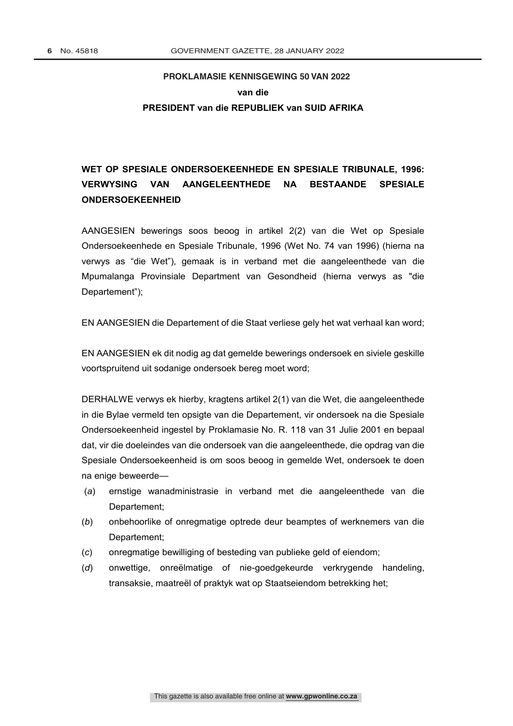# **PROKLAMASIE KENNISGEWING 50 VAN 2022 PROKLAMASIE van die PRESIDENT van die REPUBLIEK van SUID AFRIKA**

# **WET OP SPESIALE ONDERSOEKEENHEDE EN SPESIALE TRIBUNALE, 1996: VERWYSING VAN AANGELEENTHEDE NA BESTAANDE SPESIALE ONDERSOEKEENHEID**

AANGESIEN bewerings soos beoog in artikel 2(2) van die Wet op Spesiale Ondersoekeenhede en Spesiale Tribunale, 1996 (Wet No. 74 van 1996) (hierna na verwys as "die Wet"), gemaak is in verband met die aangeleenthede van die Mpumalanga Provinsiale Department van Gesondheid (hierna verwys as "die Departement");

EN AANGESIEN die Departement of die Staat verliese gely het wat verhaal kan word;

EN AANGESIEN ek dit nodig ag dat gemelde bewerings ondersoek en siviele geskille voortspruitend uit sodanige ondersoek bereg moet word;

DERHALWE verwys ek hierby, kragtens artikel 2(1) van die Wet, die aangeleenthede in die Bylae vermeld ten opsigte van die Departement, vir ondersoek na die Spesiale Ondersoekeenheid ingestel by Proklamasie No. R. 118 van 31 Julie 2001 en bepaal dat, vir die doeleindes van die ondersoek van die aangeleenthede, die opdrag van die Spesiale Ondersoekeenheid is om soos beoog in gemelde Wet, ondersoek te doen na enige beweerde—

- (*a*) ernstige wanadministrasie in verband met die aangeleenthede van die Departement;
- (*b*) onbehoorlike of onregmatige optrede deur beamptes of werknemers van die Departement;
- (*c*) onregmatige bewilliging of besteding van publieke geld of eiendom;
- (*d*) onwettige, onreëlmatige of nie-goedgekeurde verkrygende handeling, transaksie, maatreël of praktyk wat op Staatseiendom betrekking het;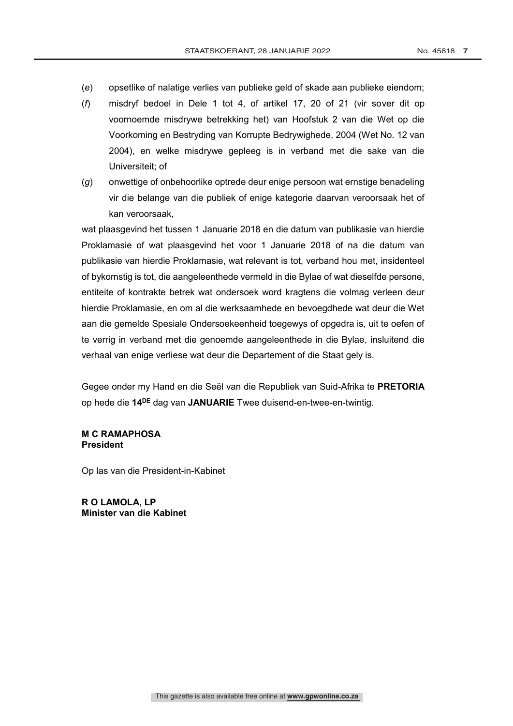- (*e*) opsetlike of nalatige verlies van publieke geld of skade aan publieke eiendom;
- (*f*) misdryf bedoel in Dele 1 tot 4, of artikel 17, 20 of 21 (vir sover dit op voornoemde misdrywe betrekking het) van Hoofstuk 2 van die Wet op die Voorkoming en Bestryding van Korrupte Bedrywighede, 2004 (Wet No. 12 van 2004), en welke misdrywe gepleeg is in verband met die sake van die Universiteit; of
- (*g*) onwettige of onbehoorlike optrede deur enige persoon wat ernstige benadeling vir die belange van die publiek of enige kategorie daarvan veroorsaak het of kan veroorsaak,

wat plaasgevind het tussen 1 Januarie 2018 en die datum van publikasie van hierdie Proklamasie of wat plaasgevind het voor 1 Januarie 2018 of na die datum van publikasie van hierdie Proklamasie, wat relevant is tot, verband hou met, insidenteel of bykomstig is tot, die aangeleenthede vermeld in die Bylae of wat dieselfde persone, entiteite of kontrakte betrek wat ondersoek word kragtens die volmag verleen deur hierdie Proklamasie, en om al die werksaamhede en bevoegdhede wat deur die Wet aan die gemelde Spesiale Ondersoekeenheid toegewys of opgedra is, uit te oefen of te verrig in verband met die genoemde aangeleenthede in die Bylae, insluitend die verhaal van enige verliese wat deur die Departement of die Staat gely is.

Gegee onder my Hand en die Seël van die Republiek van Suid-Afrika te **PRETORIA**  op hede die **14DE** dag van **JANUARIE** Twee duisend-en-twee-en-twintig.

### **M C RAMAPHOSA President**

Op las van die President-in-Kabinet

**R O LAMOLA, LP Minister van die Kabinet**